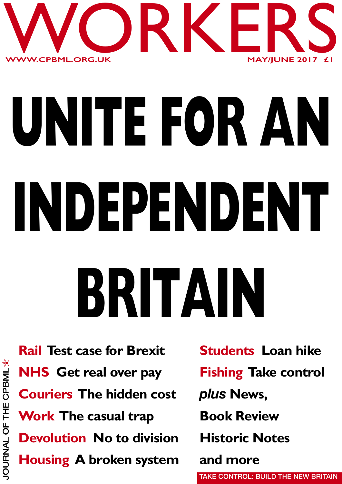

# **UNITE FOR AN INDEPENDENT BRITAIN**

**Rail Test case for Brexit NHS Get real over pay Couriers The hidden cost Work The casual trap Devolution No to division Housing A broken system**

**Students Loan hike Fishing Take control** *plus* **News, Book Review Historic Notes and more TAKE CONTROL: BUILD THE NEW BRITAIN**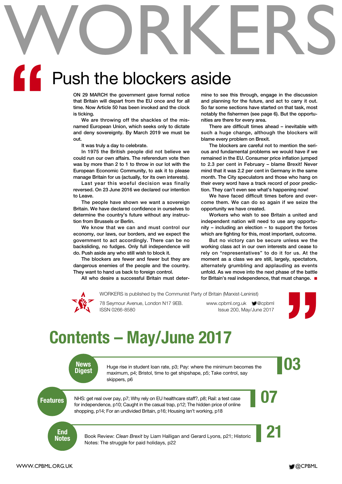# WORKERS **"**

# Push the blockers aside

**ON 29 MARCH the government gave formal notice that Britain will depart from the EU once and for all time. Now Article 50 has been invoked and the clock is ticking.**

**We are throwing off the shackles of the misnamed European Union, which seeks only to dictate and deny sovereignty. By March 2019 we must be out.**

**It was truly a day to celebrate.**

**In 1975 the British people did not believe we could run our own affairs. The referendum vote then was by more than 2 to 1 to throw in our lot with the European Economic Community, to ask it to please manage Britain for us (actually, for its own interests).**

**Last year this woeful decision was finally reversed. On 23 June 2016 we declared our intention to Leave.**

**The people have shown we want a sovereign Britain. We have declared confidence in ourselves to determine the country's future without any instruction from Brussels or Berlin.**

**We know that we can and must control our economy, our laws, our borders, and we expect the government to act accordingly. There can be no backsliding, no fudges. Only full independence will do. Push aside any who still wish to block it.**

**The blockers are fewer and fewer but they are dangerous enemies of the people and the country. They want to hand us back to foreign control.**

**All who desire a successful Britain must deter-**

**mine to see this through, engage in the discussion and planning for the future, and act to carry it out. So far some sections have started on that task, most notably the fishermen (see page 6). But the opportunities are there for every area.**

**There are difficult times ahead – inevitable with such a huge change, although the blockers will blame every problem on Brexit.**

**The blockers are careful not to mention the serious and fundamental problems we would have if we remained in the EU. Consumer price inflation jumped to 2.3 per cent in February – blame Brexit! Never mind that it was 2.2 per cent in Germany in the same month. The City speculators and those who hang on their every word have a track record of poor prediction. They can't even see what's happening now!**

**We have faced difficult times before and overcome them. We can do so again if we seize the opportunity we have created.**

**Workers who wish to see Britain a united and independent nation will need to use any opportunity – including an election – to support the forces which are fighting for this, most important, outcome.**

**But no victory can be secure unless we the working class act in our own interests and cease to rely on "representatives" to do it for us. At the moment as a class we are still, largely, spectators, alternately grumbling and applauding as events unfold. As we move into the next phase of the battle for Britain's real independence, that must change. ■**



WORKERS is published by the Communist Party of Britain (Marxist-Leninist)

78 Seymour Avenue, London N17 9EB. www.cpbml.org.uk  $\blacksquare$ @cpbml ISSN 0266-8580 Issue 200, May/June 2017



# **Contents – May/June 2017**

**News**

News<br>Digest Huge rise in student loan rate, p3; Pay: where the minimum becomes the<br>Digest maximum. p4: Bristol. time to get shipshape. p5: Take control. say Huge rise in student loan rate, p3; Pay: where the minimum becomes the maximum, p4; Bristol, time to get shipshape, p5; Take control, say skippers, p6

**Features** NHS: get real over pay, p7; Why rely on EU healthcare staff?, p8; Rail: a test case for independence, p10: Caught in the casual trap, p12: The hidden price of online NHS: get real over pay, p7; Why rely on EU healthcare staff?, p8; Rail: a test case for independence, p10; Caught in the casual trap, p12; The hidden price of online shopping, p14; For an undivided Britain, p16; Housing isn't working, p18

**End<br>Notes** 

Book Review: *Clean Brexit* by Liam Halligan and Gerard Lyons, p21; Historic Notes: The struggle for paid holidays, p22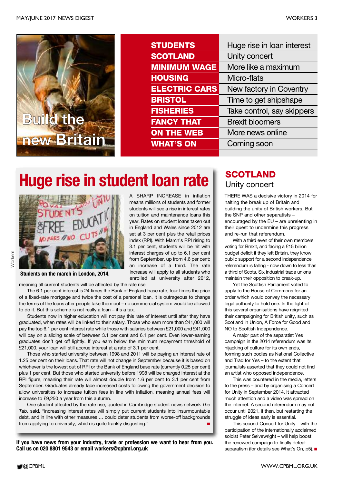

| <b>STUDENTS</b>      | Huge rise in loan interest |
|----------------------|----------------------------|
| <b>SCOTLAND</b>      | Unity concert              |
| <b>MINIMUM WAGE</b>  | More like a maximum        |
| <b>HOUSING</b>       | Micro-flats                |
| <b>ELECTRIC CARS</b> | New factory in Coventry    |
| <b>BRISTOL</b>       | Time to get shipshape      |
| <b>FISHERIES</b>     | Take control, say skippers |
| <b>FANCY THAT</b>    | <b>Brexit bloomers</b>     |
| <b>ON THE WEB</b>    | More news online           |
| <b>WHAT'S ON</b>     | Coming soon                |
|                      |                            |

# **Huge rise in student loan rate**  $\parallel$  **SCOTLAND**

A SHARP INCREASE in inflation means millions of students and former students will see a rise in interest rates on tuition and maintenance loans this year. Rates on student loans taken out in England and Wales since 2012 are set at 3 per cent plus the retail prices index (RPI). With March's RPI rising to 3.1 per cent, students will be hit with interest charges of up to 6.1 per cent from September, up from 4.6 per cent: an increase of a third. The rate increase will apply to all students who



## **Norkers**

#### **Students on the march in London, 2014.**

enrolled at university after 2012, meaning all current students will be affected by the rate rise.

The 6.1 per cent interest is 24 times the Bank of England base rate, four times the price of a fixed-rate mortgage and twice the cost of a personal loan. It is outrageous to change the terms of the loans after people take them out – no commercial system would be allowed to do it. But this scheme is not really a loan – it's a tax.

Students now in higher education will not pay this rate of interest until after they have graduated, when rates will be linked to their salary. Those who earn more than £41,000 will pay the top 6.1 per cent interest rate while those with salaries between £21,000 and £41,000 will pay on a sliding scale of between 3.1 per cent and 6.1 per cent. Even lower-earning graduates don't get off lightly. If you earn below the minimum repayment threshold of £21,000, your loan will still accrue interest at a rate of 3.1 per cent.

Those who started university between 1998 and 2011 will be paying an interest rate of 1.25 per cent on their loans. That rate will not change in September because it is based on whichever is the lowest out of RPI or the Bank of England base rate (currently 0.25 per cent) plus 1 per cent. But those who started university before 1998 will be charged interest at the RPI figure, meaning their rate will almost double from 1.6 per cent to 3.1 per cent from September. Graduates already face increased costs following the government decision to allow universities to increase tuition fees in line with inflation, meaning annual fees will increase to £9,250 a year from this autumn.

One student affected by the rate rise, quoted in Cambridge student news network *The Tab*, said, "increasing interest rates will simply put current students into insurmountable debt, and in line with other measures … could deter students from worse-off backgrounds from applying to university, which is quite frankly disgusting."

**If you have news from your industry, trade or profession we want to hear from you. Call us on 020 8801 9543 or email workers@cpbml.org.uk**

# Unity concert

THERE WAS a decisive victory in 2014 for halting the break up of Britain and building the unity of British workers. But the SNP and other separatists – encouraged by the EU – are unrelenting in their quest to undermine this progress and re-run that referendum.

With a third even of their own members voting for Brexit, and facing a £15 billion budget deficit if they left Britain, they know public support for a second independence referendum is falling - now down to less than a third of Scots. Six industrial trade unions maintain their opposition to break-up.

Yet the Scottish Parliament voted to apply to the House of Commons for an order which would convey the necessary legal authority to hold one. In the light of this several organisations have reignited their campaigning for British unity, such as Scotland in Union, A Force for Good and NO to Scottish Independence.

A major part of the separatist Yes campaign in the 2014 referendum was its hijacking of culture for its own ends, forming such bodies as National Collective and Trad for Yes – to the extent that journalists asserted that they could not find an artist who opposed independence.

This was countered in the media, letters to the press – and by organising a Concert for Unity in September 2014. It attracted much attention and a video was spread on the internet. A second referendum may not occur until 2021, if then, but restarting the struggle of ideas early is essential.

This second Concert for Unity – with the participation of the internationally acclaimed soloist Peter Seivewright – will help boost the renewed campaign to finally defeat separatism (for details see What's On, p5).**■**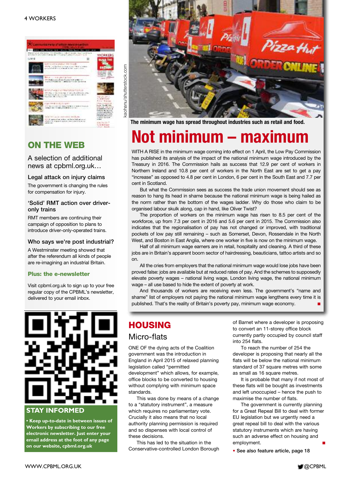#### 4 WORKERS



### **ON THE WEB**

A selection of additional news at cpbml.org.uk…

#### **Legal attack on injury claims**

The government is changing the rules for compensation for injury.

#### **'Solid' RMT action over driveronly trains**

RMT members are continuing their campaign of opposition to plans to introduce driver-only-operated trains.

#### **Who says we're post industrial?**

A Westminster meeting showed that after the referendum all kinds of people are re-imagining an industrial Britain.

#### **Plus: the e-newsletter**

Visit cpbml.org.uk to sign up to your free regular copy of the CPBML's newsletter, delivered to your email inbox.



### **STAY INFORMED**

**• Keep up-to-date in between issues of Workers by subscribing to our free electronic newsletter. Just enter your email address at the foot of any page on our website, cpbml.org.uk**



**The minimum wage has spread throughout industries such as retail and food.**

# **Not minimum – maximum**

WITH A RISE in the minimum wage coming into effect on 1 April, the Low Pay Commission has published its analysis of the impact of the national minimum wage introduced by the Treasury in 2016. The Commission hails as success that 12.9 per cent of workers in Northern Ireland and 10.8 per cent of workers in the North East are set to get a pay "increase" as opposed to 4.8 per cent in London, 6 per cent in the South East and 7.7 per cent in Scotland.

But what the Commission sees as success the trade union movement should see as reason to hang its head in shame because the national minimum wage is being hailed as the norm rather than the bottom of the wages ladder. Why do those who claim to be organised labour skulk along, cap in hand, like Oliver Twist?

The proportion of workers on the minimum wage has risen to 8.5 per cent of the workforce, up from 7.3 per cent in 2016 and 5.6 per cent in 2015. The Commission also indicates that the regionalisation of pay has not changed or improved, with traditional pockets of low pay still remaining – such as Somerset, Devon, Rossendale in the North West, and Boston in East Anglia, where one worker in five is now on the minimum wage.

Half of all minimum wage earners are in retail, hospitality and cleaning. A third of these jobs are in Britain's apparent boom sector of hairdressing, beauticians, tattoo artists and so on.

All the cries from employers that the national minimum wage would lose jobs have been proved false: jobs are available but at reduced rates of pay. And the schemes to supposedly elevate poverty wages – national living wage, London living wage, the national minimum wage – all use based to hide the extent of poverty at work.

And thousands of workers are receiving even less. The government's "name and shame" list of employers not paying the national minimum wage lengthens every time it is published. That's the reality of Britain's poverty pay, minimum wage economy.

### **HOUSING**

### Micro-flats

ONE OF the dying acts of the Coalition government was the introduction in England in April 2015 of relaxed planning legislation called "permitted development" which allows, for example, office blocks to be converted to housing without complying with minimum space standards.

This was done by means of a change to a "statutory instrument", a measure which requires no parliamentary vote. Crucially it also means that no local authority planning permission is required and so dispenses with local control of these decisions.

This has led to the situation in the Conservative-controlled London Borough of Barnet where a developer is proposing to convert an 11-storey office block currently partly occupied by council staff into 254 flats.

To reach the number of 254 the developer is proposing that nearly all the flats will be below the national minimum standard of 37 square metres with some as small as 16 square metres.

It is probable that many if not most of these flats will be bought as investments and left unoccupied – hence the push to maximise the number of flats.

The government is currently planning for a Great Repeal Bill to deal with former EU legislation but we urgently need a great repeal bill to deal with the various statutory instruments which are having such an adverse effect on housing and employment.

**• See also feature article, page 18**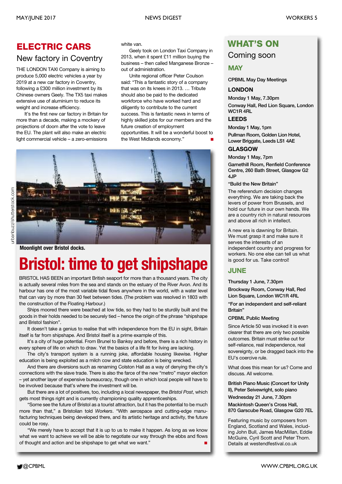### **ELECTRIC CARS**

### New factory in Coventry

THE LONDON TAXI Company is aiming to produce 5,000 electric vehicles a year by 2019 at a new car factory in Coventry, following a £300 million investment by its Chinese owners Geely. The TX5 taxi makes extensive use of aluminium to reduce its weight and increase efficiency.

It's the first new car factory in Britain for more than a decade, making a mockery of projections of doom after the vote to leave the EU. The plant will also make an electric light commercial vehicle – a zero-emissions

white van.

Geely took on London Taxi Company in 2013, when it spent £11 million buying the business – then called Manganese Bronze – out of administration.

Unite regional officer Peter Coulson said: "This a fantastic story of a company that was on its knees in 2013. … Tribute should also be paid to the dedicated workforce who have worked hard and diligently to contribute to the current success. This is fantastic news in terms of highly skilled jobs for our members and the future creation of employment opportunities. It will be a wonderful boost to the West Midlands economy." **■**



**Moonlight over Bristol docks.**

# **Bristol: time to get shipshape**

BRISTOL HAS BEEN an important British seaport for more than a thousand years. The city is actually several miles from the sea and stands on the estuary of the River Avon. And its harbour has one of the most variable tidal flows anywhere in the world, with a water level that can vary by more than 30 feet between tides. (The problem was resolved in 1803 with the construction of the Floating Harbour.)

Ships moored there were beached at low tide, so they had to be sturdily built and the goods in their holds needed to be securely tied – hence the origin of the phrase "shipshape and Bristol fashion".

It doesn't take a genius to realise that with independence from the EU in sight, Britain itself is far from shipshape. And Bristol itself is a prime example of this.

It's a city of huge potential. From Brunel to Banksy and before, there is a rich history in every sphere of life on which to draw. Yet the basics of a life fit for living are lacking.

The city's transport system is a running joke, affordable housing likewise. Higher education is being exploited as a milch cow and state education is being wrecked.

And there are diversions such as renaming Colston Hall as a way of denying the city's connections with the slave trade. There is also the farce of the new "metro" mayor election – yet another layer of expensive bureaucracy, though one in which local people will have to be involved because that's where the investment will be.

But there are a lot of positives, too, including a local newspaper, the *Bristol Post*, which gets most things right and is currently championing quality apprenticeships.

"Some see the future of Bristol as a tourist attraction, but it has the potential to be much more than that," a Bristolian told *Workers*. "With aerospace and cutting-edge manufacturing techniques being developed there, and its artistic heritage and activity, the future could be rosy.

"We merely have to accept that it is up to us to make it happen. As long as we know what we want to achieve we will be able to negotiate our way through the ebbs and flows of thought and action and be shipshape to get what we want." **■**

### **WHAT'S ON**

### Coming soon

### **MAY**

**CPBML May Day Meetings**

### **LONDON**

**Monday 1 May, 7.30pm Conway Hall, Red Lion Square, London WC1R 4RL**

### **LEEDS**

**Monday 1 May, 1pm Pullman Room, Golden Lion Hotel, Lower Briggate, Leeds LS1 4AE**

### **GLASGOW**

**Monday 1 May, 7pm**

**Garnethill Room, Renfield Conference Centre, 260 Bath Street, Glasgow G2 4JP**

#### **"Build the New Britain"**

The referendum decision changes everything. We are taking back the levers of power from Brussels, and hold our future in our own hands. We are a country rich in natural resources and above all rich in intellect.

A new era is dawning for Britain. We must grasp it and make sure it serves the interests of an independent country and progress for workers. No one else can tell us what is good for us. Take control!

### **JUNE**

**Thursday 1 June, 7.30pm**

**Brockway Room, Conway Hall, Red Lion Square, London WC1R 4RL**

**"For an independent and self-reliant Britain"**

#### **CPBML Public Meeting**

Since Article 50 was invoked it is even clearer that there are only two possible outcomes. Britain must strike out for self-reliance, real independence, real sovereignty, or be dragged back into the EU's coercive rule.

What does this mean for us? Come and discuss. All welcome.

**British Piano Music (Concert for Unity II), Peter Seivewright, solo piano**

**Wednesday 21 June, 7.30pm**

**Mackintosh Queen's Cross Hall, 870 Garscube Road, Glasgow G20 7EL**

Featuring music by composers from England, Scotland and Wales, including John Bull, James MacMillan, Eddie McGuire, Cyril Scott and Peter Thorn. Details at westendfestival.co.uk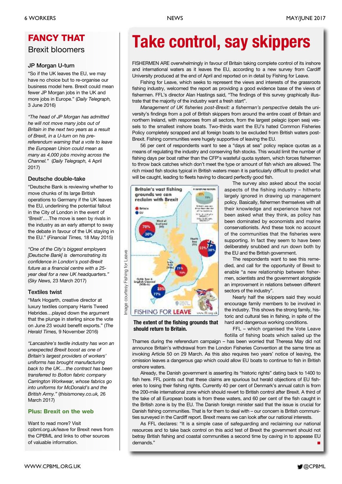### **FANCY THAT** Brexit bloomers

#### **JP Morgan U-turn**

"So if the UK leaves the EU, we may have no choice but to re-organise our business model here. Brexit could mean fewer JP Morgan jobs in the UK and more jobs in Europe." (*Daily Telegraph,* 3 June 2016)

*"The head of JP Morgan has admitted he will not move many jobs out of Britain in the next two years as a result of Brexit, in a U-turn on his prereferendum warning that a vote to leave the European Union could mean as many as 4,000 jobs moving across the Channel."* (*Daily Telegraph,* 4 April 2017)

### **Deutsche double-take**

"Deutsche Bank is reviewing whether to move chunks of its large British operations to Germany if the UK leaves the EU, underlining the potential fallout in the City of London in the event of 'Brexit'.…The move is seen by rivals in the industry as an early attempt to sway the debate in favour of the UK staying in the EU." (*Financial Times,* 18 May 2015)

*"One of the City's biggest employers [Deutsche Bank] is demonstrating its confidence in London's post-Brexit future as a financial centre with a 25 year deal for a new UK headquarters."* (*Sky News,* 23 March 2017)

### **Textiles twist**

"Mark Hogarth, creative director at luxury textiles company Harris Tweed Hebrides…played down the argument that the plunge in sterling since the vote on June 23 would benefit exports." (*The Herald Times,* 9 November 2016)

*"Lancashire's textile industry has won an unexpected Brexit boost as one of Britain's largest providers of workers' uniforms has brought manufacturing back to the UK.…the contract has been transferred to Bolton fabric company Carrington Workwear, whose fabrics go into uniforms for McDonald's and the British Army."* (*thisismoney.co.uk,* 26 March 2017)

### **Plus: Brexit on the web**

Want to read more? Visit cpbml.org.uk/leave for Brexit news from the CPBML and links to other sources of valuable information.

# **Take control, say skippers**

FISHERMEN ARE overwhelmingly in favour of Britain taking complete control of its inshore and international waters as it leaves the EU, according to a new survey from Cardiff University produced at the end of April and reported on in detail by Fishing for Leave.

Fishing for Leave, which seeks to represent the views and interests of the grassroots fishing industry, welcomed the report as providing a good evidence base of the views of fishermen. FFL's director Alan Hastings said, "The findings of this survey graphically illustrate that the majority of the industry want a fresh start".

*Management of UK fisheries post-Brexit: a fisherman's perspective* details the university's findings from a poll of British skippers from around the entire coast of Britain and northern Ireland, with responses from all sectors, from the largest pelagic (open sea) vessels to the smallest inshore boats. Two-thirds want the EU's hated Common Fisheries Policy completely scrapped and all foreign boats to be excluded from British waters post-Brexit. Fishing communities were hugely supportive of leaving the EU.

56 per cent of respondents want to see a "days at sea" policy replace quotas as a means of regulating the industry and conserving fish stocks. This would limit the number of fishing days per boat rather than the CFP's wasteful quota system, which forces fishermen to throw back catches which don't meet the type or amount of fish which are allowed. The rich mixed fish stocks typical in British waters mean it is particularly difficult to predict what will be caught, leading to fleets having to discard perfectly good fish.



**The extent of the fishing grounds that should return to Britain.**

The survey also asked about the social aspects of the fishing industry – hitherto largely ignored in drawing up management policy. Basically, fishermen themselves with all their knowledge and experience have not been asked what they think, as policy has been dominated by economists and marine conservationists. And these took no account of the communities that the fisheries were supporting. In fact they seem to have been deliberately snubbed and run down both by the EU and the British government.

The respondents want to see this remedied, and call for the opportunity of Brexit to enable "a new relationship between fishermen, scientists and the government alongside an improvement in relations between different sectors of the industry".

Nearly half the skippers said they would encourage family members to be involved in the industry. This shows the strong family, historic and cultural ties in fishing, in spite of the hard and dangerous working conditions.

FFL – which organised the Vote Leave flotilla of fishing boats which sailed up the

Thames during the referendum campaign – has been worried that Theresa May did not announce Britain's withdrawal from the London Fisheries Convention at the same time as invoking Article 50 on 29 March. As this also requires two years' notice of leaving, the omission leaves a dangerous gap which could allow EU boats to continue to fish in British onshore waters.

Already, the Danish government is asserting its "historic rights" dating back to 1400 to fish here. FFL points out that these claims are spurious but herald objections of EU fisheries to losing their fishing rights. Currently 40 per cent of Denmark's annual catch is from the 200-mile international zone which should revert to British control after Brexit. A third of the take of all European boats is from these waters, and 60 per cent of the fish caught in the British zone is by the EU. The Danish foreign minister said that the issue is crucial for Danish fishing communities. That is for them to deal with – our concern is British communities surveyed in the Cardiff report. Brexit means we can look after our national interests.

As FFL declares: "It is a simple case of safeguarding and reclaiming our national resources and to take back control on this acid test of Brexit the government should not betray British fishing and coastal communities a second time by caving in to appease EU demands."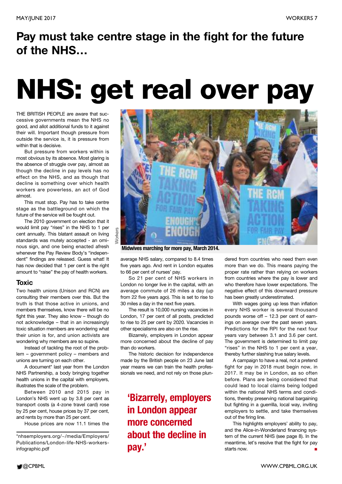### **Pay must take centre stage in the fight for the future of the NHS…**

# **NHS: get real over pay**

THE BRITISH PEOPLE are aware that successive governments mean the NHS no good, and allot additional funds to it against their will. Important though pressure from outside the service is, it is pressure from within that is decisive.

But pressure from workers within is most obvious by its absence. Most glaring is the absence of struggle over pay, almost as though the decline in pay levels has no effect on the NHS, and as though that decline is something over which health workers are powerless, an act of God almost.

This must stop. Pay has to take centre stage as the battleground on which the future of the service will be fought out.

The 2010 government on election that it would limit pay "rises" in the NHS to 1 per cent annually. This blatant assault on living standards was mutely accepted - an ominous sign, and one being enacted afresh whenever the Pay Review Body's "independent" findings are released. Guess what! It has now decided that 1 per cent is the right amount to "raise" the pay of health workers.

### **Toxic**

Two health unions (Unison and RCN) are consulting their members over this. But the truth is that those active in unions, and members themselves, know there will be no fight this year. They also know – though do not acknowledge – that in an increasingly toxic situation members are wondering what their union is for, and union activists are wondering why members are so supine.

Instead of tackling the root of the problem – government policy – members and unions are turning on each other.

A document\* last year from the London NHS Partnership, a body bringing together health unions in the capital with employers, illustrates the scale of the problem.

Between 2010 and 2015 pay in London's NHS went up by 3.8 per cent as transport costs (a 4-zone travel card) rose by 25 per cent, house prices by 37 per cent, and rents by more than 25 per cent.

House prices are now 11.1 times the



**Midwives marching for more pay, March 2014.**

average NHS salary, compared to 8.4 times five years ago. And rent in London equates to 66 per cent of nurses' pay.

So 21 per cent of NHS workers in London no longer live in the capital, with an average commute of 26 miles a day (up from 22 five years ago). This is set to rise to 30 miles a day in the next five years.

The result is 10,000 nursing vacancies in London, 17 per cent of all posts, predicted to rise to 25 per cent by 2020. Vacancies in other specialisms are also on the rise.

Bizarrely, employers in London appear more concerned about the decline of pay than do workers.

The historic decision for independence made by the British people on 23 June last year means we can train the health professionals we need, and not rely on those plun-

**'Bizarrely, employers in London appear more concerned about the decline in pay.'**

dered from countries who need them even more than we do. This means paying the proper rate rather than relying on workers from countries where the pay is lower and who therefore have lower expectations. The negative effect of this downward pressure has been greatly underestimated.

With wages going up less than inflation every NHS worker is several thousand pounds worse off – 12.3 per cent of earnings on average over the past seven years. Predictions for the RPI for the next four years vary between 3.1 and 3.6 per cent. The government is determined to limit pay "rises" in the NHS to 1 per cent a year, thereby further slashing true salary levels.

A campaign to have a real, not a pretend fight for pay in 2018 must begin now, in 2017. It may be in London, as so often before. Plans are being considered that could lead to local claims being lodged within the national NHS terms and conditions, thereby preserving national bargaining but fighting in a guerrilla, local way, inviting employers to settle, and take themselves out of the firing line.

This highlights employers' ability to pay, and the Alice-in-Wonderland financing system of the current NHS (see page 8). In the meantime, let's resolve that the fight for pay starts now. **■**

<sup>\*</sup>nhsemployers.org/~/media/Employers/ Publications/London-life-NHS-workersinfographic.pdf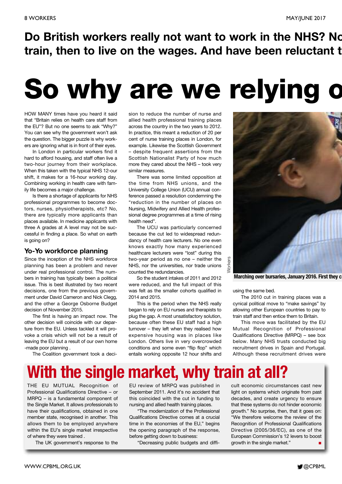**Do British workers really not want to work in the NHS? No train, then to live on the wages. And have been reluctant t**

# **So why are we relying o**

HOW MANY times have you heard it said that "Britain relies on health care staff from the EU"? But no one seems to ask "Why?" You can see why the government won't ask the question. The bigger puzzle is why workers are ignoring what is in front of their eyes.

In London in particular workers find it hard to afford housing, and staff often live a two-hour journey from their workplace. When this taken with the typical NHS 12-our shift, it makes for a 16-hour working day. Combining working in health care with family life becomes a major challenge.

Is there a shortage of applicants for NHS professional programmes to become doctors, nurses, physiotherapists, etc? No, there are typically more applicants than places available. In medicine applicants with three A grades at A level may not be successful in finding a place. So what on earth is going on?

### **Yo-Yo workforce planning**

Since the inception of the NHS workforce planning has been a problem and never under real professional control. The numbers in training has typically been a political issue. This is best illustrated by two recent decisions, one from the previous government under David Cameron and Nick Clegg, and the other a George Osborne Budget decision of November 2015.

The first is having an impact now. The other decision will coincide with our departure from the EU. Unless tackled it will provoke a crisis which will not be a result of leaving the EU but a result of our own home -made poor planning .

The Coalition government took a deci-

sion to reduce the number of nurse and allied health professional training places across the country in the two years to 2012. In practice, this meant a reduction of 20 per cent of nurse training places in London, for example. Likewise the Scottish Government – despite frequent assertions from the Scottish Nationalist Party of how much more they cared about the NHS – took very similar measures.

There was some limited opposition at the time from NHS unions, and the University College Union (UCU) annual conference passed a resolution condemning the "reduction in the number of places on Nursing, Midwifery and Allied Health professional degree programmes at a time of rising health need".

The UCU was particularly concerned because the cut led to widespread redundancy of health care lecturers. No one even knows exactly how many experienced healthcare lecturers were "lost" during this two-year period as no one – neither the NHS, nor the universities, nor trade unions counted the redundancies.

So the student intakes of 2011 and 2012 were reduced, and the full impact of this was felt as the smaller cohorts qualified in 2014 and 2015.

This is the period when the NHS really began to rely on EU nurses and therapists to plug the gap. A most unsatisfactory solution, because often these EU staff had a high turnover – they left when they realised how expensive housing was in places like London. Others live in very overcrowded conditions and some even "flip flop" which entails working opposite 12 hour shifts and



**Marching over bursaries, January 2016. First they c**

using the same bed.

The 2010 cut in training places was a cynical political move to "make savings" by allowing other European countries to pay to train staff and then entice them to Britain.

This move was facilitated by the EU Mutual Recognition of Professional Qualifications Directive (MRPQ) – see box below. Many NHS trusts conducted big recruitment drives in Spain and Portugal. Although these recruitment drives were

## **With the single market, why train at all?**

THE EU MUTUAL Recognition of Professional Qualifications Directive – or MRPQ – is a fundamental component of the Single Market. It allows professionals to have their qualifications, obtained in one member state, recognised in another. This allows them to be employed anywhere within the EU's single market irrespective of where they were trained .

The UK government's response to the

EU review of MRPQ was published in September 2011. And it's no accident that this coincided with the cut in funding to nursing and allied health training places.

"The modernization of the Professional Qualifications Directive comes at a crucial time in the economies of the EU," begins the opening paragraph of the response, before getting down to business:

"Decreasing public budgets and diffi-

cult economic circumstances cast new light on systems which originate from past decades, and create urgency to ensure that these systems do not hinder economic growth." No surprise, then, that it goes on: "We therefore welcome the review of the Recognition of Professional Qualifications Directive (2005/36/EC), as one of the European Commission's 12 levers to boost growth in the single market."

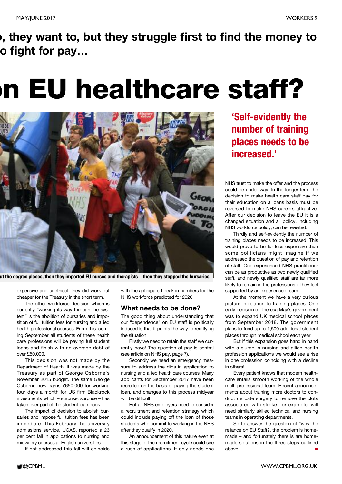### **o, they want to, but they struggle first to find the money to o fight for pay…**

# **on EU healthcare staff?**



**ut the degree places, then they imported EU nurses and therapists – then they stopped the bursaries.**

expensive and unethical, they did work out cheaper for the Treasury in the short term.

The other workforce decision which is currently "working its way through the system" is the abolition of bursaries and imposition of full tuition fees for nursing and allied health professional courses. From this coming September all students of these health care professions will be paying full student loans and finish with an average debt of over £50,000.

This decision was not made by the Department of Health. It was made by the Treasury as part of George Osborne's November 2015 budget. The same George Osborne now earns £650,000 for working four days a month for US firm Blackrock investments which – surprise, surprise – has taken over part of the student loan book.

The impact of decision to abolish bursaries and impose full tuition fees has been immediate. This February the university admissions service, UCAS, reported a 23 per cent fall in applications to nursing and midwifery courses at English universities.

If not addressed this fall will coincide

with the anticipated peak in numbers for the NHS workforce predicted for 2020.

### **What needs to be done?**

The good thing about understanding that our "dependence" on EU staff is politically induced is that it points the way to rectifying the situation.

Firstly we need to retain the staff we currently have! The question of pay is central (see article on NHS pay, page 7).

Secondly we need an emergency measure to address the dips in application to nursing and allied health care courses. Many applicants for September 2017 have been recruited on the basis of paying the student loan, and changes to this process midyear will be difficult.

But all NHS employers need to consider a recruitment and retention strategy which could include paying off the loan of those students who commit to working in the NHS after they qualify in 2020.

An announcement of this nature even at this stage of the recruitment cycle could see a rush of applications. It only needs one

**'Self-evidently the number of training places needs to be increased.'**

NHS trust to make the offer and the process could be under way. In the longer term the decision to make health care staff pay for their education on a loans basis must be reversed to make NHS careers attractive. After our decision to leave the EU it is a changed situation and all policy, including NHS workforce policy, can be revisited.

Thirdly and self-evidently the number of training places needs to be increased. This would prove to be far less expensive than some politicians might imagine if we addressed the question of pay and retention of staff. One experienced NHS practitioner can be as productive as two newly qualified staff, and newly qualified staff are far more likely to remain in the professions if they feel supported by an experienced team.

At the moment we have a very curious picture in relation to training places. One early decision of Theresa May's government was to expand UK medical school places from September 2018. The government plans to fund up to 1,500 additional student places through medical school each year.

But if this expansion goes hand in hand with a slump in nursing and allied health profession applications we would see a rise in one profession coinciding with a decline in others!

Every patient knows that modern healthcare entails smooth working of the whole multi-professional team. Recent announcements about training more doctors to conduct delicate surgery to remove the clots associated with stroke, for example, will need similarly skilled technical and nursing teams in operating departments.

So to answer the question of "why the reliance on EU Staff?, the problem is homemade – and fortunately there is are homemade solutions in the three steps outlined above. **■**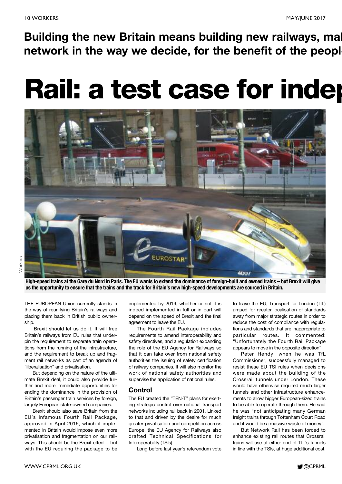**network in the way we decide, for the benefit of the people**

# **Rail: a test case for indep**



High-speed trains at the Gare du Nord in Paris. The EU wants to extend the dominance of foreign-built and owned trains - but Brexit will give us the opportunity to ensure that the trains and the track for Britain's new high-speed developments are sourced in Britain.

THE EUROPEAN Union currently stands in the way of reunifying Britain's railways and placing them back in British public ownership.

Brexit should let us do it. It will free Britain's railways from EU rules that underpin the requirement to separate train operations from the running of the infrastructure, and the requirement to break up and fragment rail networks as part of an agenda of "liberalisation" and privatisation.

But depending on the nature of the ultimate Brexit deal, it could also provide further and more immediate opportunities for ending the dominance in the provision of Britain's passenger train services by foreign, largely European state-owned companies.

Brexit should also save Britain from the EU's infamous Fourth Rail Package, approved in April 2016, which if implemented in Britain would impose even more privatisation and fragmentation on our railways. This should be the Brexit effect – but with the EU requiring the package to be

implemented by 2019, whether or not it is indeed implemented in full or in part will depend on the speed of Brexit and the final agreement to leave the EU.

The Fourth Rail Package includes requirements to amend interoperability and safety directives, and a regulation expanding the role of the EU Agency for Railways so that it can take over from national safety authorities the issuing of safety certification of railway companies. It will also monitor the work of national safety authorities and supervise the application of national rules.

### **Control**

The EU created the "TEN-T" plans for exerting strategic control over national transport networks including rail back in 2001. Linked to that and driven by the desire for much greater privatisation and competition across Europe, the EU Agency for Railways also drafted Technical Specifications for Interoperability (TSIs).

Long before last year's referendum vote

to leave the EU, Transport for London (TfL) argued for greater localisation of standards away from major strategic routes in order to reduce the cost of compliance with regulations and standards that are inappropriate to particular routes. It commented: "Unfortunately the Fourth Rail Package appears to move in the opposite direction".

Peter Hendy, when he was TfL Commissioner, successfully managed to resist these EU TSI rules when decisions were made about the building of the Crossrail tunnels under London. These would have otherwise required much larger tunnels and other infrastructure enhancements to allow bigger European-sized trains to be able to operate through them. He said he was "not anticipating many German freight trains through Tottenham Court Road and it would be a massive waste of money".

But Network Rail has been forced to enhance existing rail routes that Crossrail trains will use at either end of TfL's tunnels in line with the TSIs, at huge additional cost.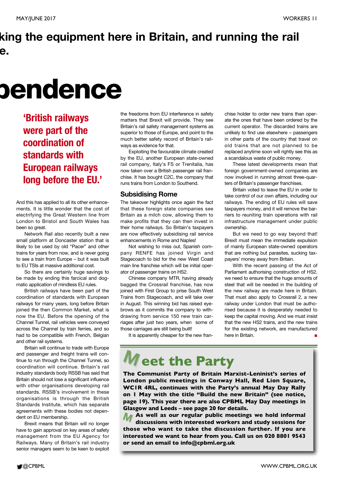### **king the equipment here in Britain, and running the rail e.**

# **pendence**

**'British railways were part of the coordination of standards with European railways long before the EU.'**

And this has applied to all its other enhancements. It is little wonder that the cost of electrifying the Great Western line from London to Bristol and South Wales has been so great.

Network Rail also recently built a new small platform at Doncaster station that is likely to be used by old "Pacer" and other trains for years from now, and is never going to see a train from Europe – but it was built to EU TSIs at massive additional cost.

So there are certainly huge savings to be made by ending this farcical and dogmatic application of mindless EU rules.

British railways have been part of the coordination of standards with European railways for many years, long before Britain joined the then Common Market, what is now the EU. Before the opening of the Channel Tunnel, rail vehicles were conveyed across the Channel by train ferries, and so had to be compatible with French, Belgian and other rail systems.

Britain will continue to trade with Europe and passenger and freight trains will continue to run through the Channel Tunnel, so coordination will continue. Britain's rail industry standards body RSSB has said that Britain should not lose a significant influence with other organisations developing rail standards. RSSB's involvement in these organisations is through the British Standards Institute, which has separate agreements with these bodies not dependent on EU membership.

Brexit means that Britain will no longer have to gain approval on key areas of safety management from the EU Agency for Railways. Many of Britain's rail industry senior managers seem to be keen to exploit

the freedoms from EU interference in safety matters that Brexit will provide. They see Britain's rail safety management systems as superior to those of Europe, and point to the much better safety record of Britain's railways as evidence for that.

Exploiting the favourable climate created by the EU, another European state-owned rail company, Italy's FS or Trenitalia, has now taken over a British passenger rail franchise. It has bought C2C, the company that runs trains from London to Southend.

### **Subsidising Rome**

The takeover highlights once again the fact that these foreign state companies see Britain as a milch cow, allowing them to make profits that they can then invest in their home railways. So Britain's taxpayers are now effectively subsidising rail service enhancements in Rome and Naples!

Not wishing to miss out, Spanish company RENFE has joined Virgin and Stagecoach to bid for the new West Coast main line franchise which will be initial operator of passenger trains on HS2.

Chinese company MTR, having already bagged the Crossrail franchise, has now joined with First Group to prise South West Trains from Stagecoach, and will take over in August. This winning bid has raised eyebrows as it commits the company to withdrawing from service 150 new train carriages after just two years, when some of those carriages are still being built!

It is apparently cheaper for the new fran-

chise holder to order new trains than operate the ones that have been ordered by the current operator. The discarded trains are unlikely to find use elsewhere – passengers in other parts of the country that travel on old trains that are not planned to be replaced anytime soon will rightly see this as a scandalous waste of public money.

These latest developments mean that foreign government-owned companies are now involved in running almost three-quarters of Britain's passenger franchises.

Britain voted to leave the EU in order to take control of our own affairs, including our railways. The ending of EU rules will save taxpayers money, and it will remove the barriers to reuniting train operations with rail infrastructure management under public ownership.

But we need to go way beyond that! Brexit must mean the immediate expulsion of mainly European state-owned operators that are nothing but parasites, sucking taxpayers' money away from Britain.

With the recent passing of the Act of Parliament authorising construction of HS2, we need to ensure that the huge amounts of steel that will be needed in the building of the new railway are made here in Britain. That must also apply to Crossrail 2, a new railway under London that must be authorised because it is desperately needed to keep the capital moving. And we must insist that the new HS2 trains, and the new trains for the existing network, are manufactured here in Britain.

# $M$  eet the Party

**The Communist Party of Britain Marxist-Leninist's series of London public meetings in Conway Hall, Red Lion Square, WC1R 4RL, continues with the Party's annual May Day Rally on 1 May with the title "Build the new Britain" (see notice, page 19). This year there are also CPBML May Day meetings in Glasgow and Leeds – see page 20 for details.**

**M those who want to take the discussion further. If you are As well as our regular public meetings we hold informal M discussions with interested workers and study sessions for interested we want to hear from you. Call us on 020 8801 9543 or send an email to info@cpbml.org.uk**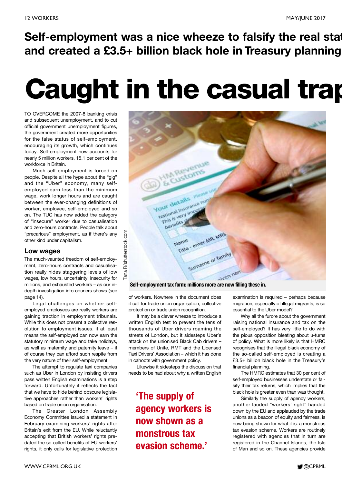### **Self-employment was a nice wheeze to falsify the real stat and created a £3.5+ billion black hole in Treasury planning**

# **Caught in the casual trap**

TO OVERCOME the 2007-8 banking crisis and subsequent unemployment, and to cut official government unemployment figures, the government created more opportunities for the false status of self-employment, encouraging its growth, which continues today. Self-employment now accounts for nearly 5 million workers, 15.1 per cent of the workforce in Britain.

Much self-employment is forced on people. Despite all the hype about the "gig" and the "Uber" economy, many selfemployed earn less than the minimum wage, work longer hours and are caught between the ever-changing definitions of worker, employee, self-employed and so on. The TUC has now added the category of "insecure" worker due to casualisation and zero-hours contracts. People talk about "precarious" employment, as if there's any other kind under capitalism.

### **Low wages**

The much-vaunted freedom of self-employment, zero-hours contracts and casualisation really hides staggering levels of low wages, low hours, uncertainty, insecurity for millions, and exhausted workers – as our indepth investigation into couriers shows (see page 14).

Legal challenges on whether selfemployed employees are really workers are gaining traction in employment tribunals. While this does not present a collective resolution to employment issues, it at least means the self-employed can now earn the statutory minimum wage and take holidays, as well as maternity and paternity leave – if of course they can afford such respite from the very nature of their self-employment.

The attempt to regulate taxi companies such as Uber in London by insisting drivers pass written English examinations is a step forward. Unfortunately it reflects the fact that we have to hide behind obscure legislative approaches rather than workers' rights based on trade union organisation.

The Greater London Assembly Economy Committee issued a statement in February examining workers' rights after Britain's exit from the EU. While reluctantly accepting that British workers' rights predated the so-called benefits of EU workers' rights, it only calls for legislative protection



of workers. Nowhere in the document does it call for trade union organisation, collective protection or trade union recognition.

It may be a clever wheeze to introduce a written English test to prevent the tens of thousands of Uber drivers roaming the streets of London, but it sidesteps Uber's attack on the unionised Black Cab drivers – members of Unite, RMT and the Licensed Taxi Drivers' Association – which it has done in cahoots with government policy.

Likewise it sidesteps the discussion that needs to be had about why a written English

**'The supply of agency workers is now shown as a monstrous tax evasion scheme.'**

examination is required – perhaps because migration, especially of illegal migrants, is so essential to the Uber model?

Why all the furore about the government raising national insurance and tax on the self-employed? It has very little to do with the pious opposition bleating about u-turns of policy. What is more likely is that HMRC recognises that the illegal black economy of the so-called self-employed is creating a £3.5+ billion black hole in the Treasury's financial planning.

The HMRC estimates that 30 per cent of self-employed businesses understate or falsify their tax returns, which implies that the black hole is greater even than was thought.

Similarly the supply of agency workers, another lauded "workers' right" handed down by the EU and applauded by the trade unions as a beacon of equity and fairness, is now being shown for what it is: a monstrous tax evasion scheme. Workers are routinely registered with agencies that in turn are registered in the Channel Islands, the Isle of Man and so on. These agencies provide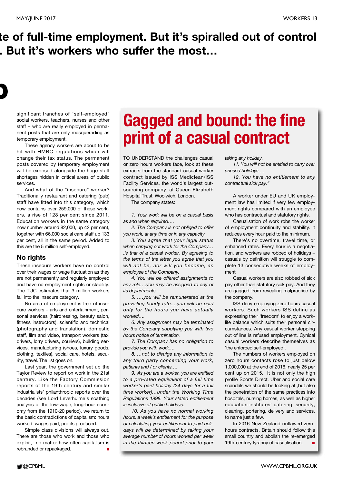**p**

### **te of full-time employment. But it's spiralled out of control . But it's workers who suffer the most…**

significant tranches of "self-employed" social workers, teachers, nurses and other staff – who are really employed in permanent posts that are only masquerading as temporary employment.

These agency workers are about to be hit with HMRC regulations which will change their tax status. The permanent posts covered by temporary employment will be exposed alongside the huge staff shortages hidden in critical areas of public services.

And what of the "insecure" worker? Traditionally restaurant and catering (pub) staff have fitted into this category, which now contains over 259,000 of these workers, a rise of 128 per cent since 2011. Education workers in the same category now number around 82,000, up 42 per cent, together with 66,000 social care staff up 133 per cent, all in the same period. Added to this are the 5 million self-employed.

### **No rights**

These insecure workers have no control over their wages or wage fluctuation as they are not permanently and regularly employed and have no employment rights or stability. The TUC estimates that 3 million workers fall into the insecure category.

No area of employment is free of insecure workers – arts and entertainment, personal services (hairdressing, beauty salon, fitness instructors), scientific and technical (photography and translation), domestic staff, film and video, transport workers (taxi drivers, lorry drivers, couriers), building services, manufacturing (shoes, luxury goods, clothing, textiles), social care, hotels, security, travel. The list goes on.

Last year, the government set up the Taylor Review to report on work in the 21st century. Like the Factory Commission reports of the 19th century and similar industrialists' philanthropic reports over the decades (see Lord Leverhulme's scathing analysis of the low-wage, long-hour economy from the 1910-20 period), we return to the basic contradictions of capitalism: hours worked, wages paid, profits produced.

Simple class divisions will always out. There are those who work and those who exploit, no matter how often capitalism is rebranded or repackaged.

# **Gagged and bound: the fine print of a casual contract**

TO UNDERSTAND the challenges casual or zero hours workers face, look at these extracts from the standard casual worker contract issued by ISS Mediclean/ISS Facility Services, the world's largest outsourcing company, at Queen Elizabeth Hospital Trust, Woolwich, London.

The company states:

*1. Your work will be on a casual basis as and when required….*

*2. The Company is not obliged to offer you work, at any time or in any capacity.*

*3. You agree that your legal status when carrying out work for the Company… .is that of a casual worker. By agreeing to the terms of the letter you agree that you will not be, nor will you become, an employee of the Company.*

*4. You will be offered assignments to any role….you may be assigned to any of its departments….*

*5. ….you will be remunerated at the prevailing hourly rate….you will be paid only for the hours you have actually worked….*

*6. Any assignment may be terminated by the Company supplying you with two hours notice of termination.*

*7. The Company has no obligation to provide you with work….*

*8. …not to divulge any information to any third party concerning your work, patients and / or clients….*

*9. As you are a worker, you are entitled to a pro-rated equivalent of a full time worker's paid holiday (24 days for a full time worker)…under the Working Time Regulations 1998. Your stated entitlement is inclusive of public holidays.*

*10. As you have no normal working hours, a week's entitlement for the purpose of calculating your entitlement to paid holidays will be determined by taking your average number of hours worked per week in the thirteen week period prior to your* *taking any holiday.*

*11. You will not be entitled to carry over unused holidays….*

*12. You have no entitlement to any contractual sick pay."*

A worker under EU and UK employment law has limited if very few employment rights compared with an employee who has contractual and statutory rights.

Casualisation of work robs the worker of employment continuity and stability. It reduces every hour paid to the minimum.

There's no overtime, travel time, or enhanced rates. Every hour is a negotiation, and workers are robbed of holidays – casuals by definition will struggle to complete 13 consecutive weeks of employment

Casual workers are also robbed of sick pay other than statutory sick pay. And they are gagged from revealing malpractice by the company.

ISS deny employing zero hours casual workers. Such workers ISS define as expressing their 'freedom' to enjoy a worklife balance which suits their personal circumstances. Any casual worker stepping out of line is refused employment. Cynical casual workers describe themselves as 'the enforced self-employed'.

The numbers of workers employed on zero hours contacts rose to just below 1,000,000 at the end of 2016, nearly 25 per cent up on 2015. It is not only the high profile Sports Direct, Uber and social care scandals we should be looking at ,but also the penetration of the same practices into hospitals, nursing homes, as well as higher education institutes' catering, security, cleaning, portering, delivery and services, to name just a few.

In 2016 New Zealand outlawed zerohours contracts. Britain should follow this small country and abolish the re-emerged 19th-century tyranny of casualisation. **■**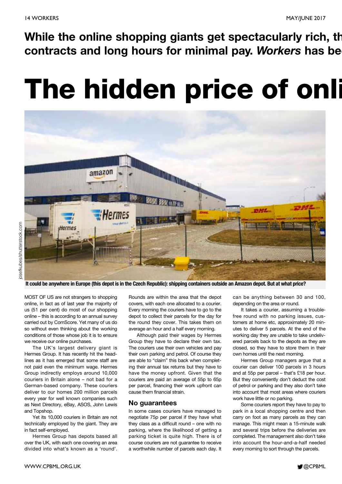**While the online shopping giants get spectacularly rich, th contracts and long hours for minimal pay.** *Workers* **has bee**

# **The hidden price of onli**



It could be anywhere in Europe (this depot is in the Czech Republic): shipping containers outside an Amazon depot. But at what price?

MOST OF US are not strangers to shopping online, in fact as of last year the majority of us (51 per cent) do most of our shopping online – this is according to an annual survey carried out by ComScore. Yet many of us do so without even thinking about the working conditions of those whose job it is to ensure we receive our online purchases.

The UK's largest delivery giant is Hermes Group. It has recently hit the headlines as it has emerged that some staff are not paid even the minimum wage. Hermes Group indirectly employs around 10,000 couriers in Britain alone – not bad for a German-based company. These couriers deliver to our homes 200 million parcels every year for well known companies such as Next Directory, eBay, ASOS, John Lewis and Topshop.

Yet its 10,000 couriers in Britain are not technically employed by the giant. They are in fact self-employed.

Hermes Group has depots based all over the UK, with each one covering an area divided into what's known as a 'round'.

Rounds are within the area that the depot covers, with each one allocated to a courier. Every morning the couriers have to go to the depot to collect their parcels for the day for the round they cover. This takes them on average an hour and a half every morning.

Although paid their wages by Hermes Group they have to declare their own tax. The couriers use their own vehicles and pay their own parking and petrol. Of course they are able to "claim" this back when completing their annual tax returns but they have to have the money upfront. Given that the couriers are paid an average of 55p to 65p per parcel, financing their work upfront can cause them financial strain.

#### **No guarantees**

In some cases couriers have managed to negotiate 75p per parcel if they have what they class as a difficult round – one with no parking, where the likelihood of getting a parking ticket is quite high. There is of course couriers are not guarantee to receive a worthwhile number of parcels each day. It

can be anything between 30 and 100, depending on the area or round.

It takes a courier, assuming a troublefree round with no parking issues, customers at home etc, approximately 20 minutes to deliver 5 parcels. At the end of the working day they are unable to take undelivered parcels back to the depots as they are closed, so they have to store them in their own homes until the next morning.

Hermes Group managers argue that a courier can deliver 100 parcels in 3 hours and at 55p per parcel – that's £18 per hour. But they conveniently don't deduct the cost of petrol or parking and they also don't take into account that most areas where couriers work have little or no parking.

Some couriers report they have to pay to park in a local shopping centre and then carry on foot as many parcels as they can manage. This might mean a 15-minute walk and several trips before the deliveries are completed. The management also don't take into account the hour-and-a-half needed every morning to sort through the parcels.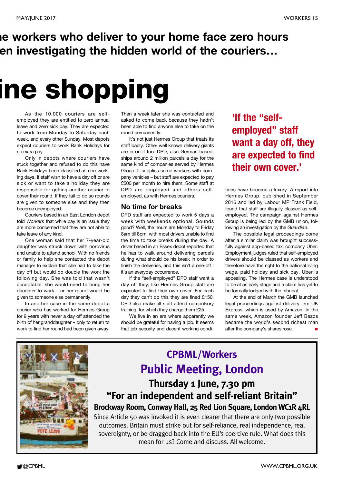### **he workers who deliver to your home face zero hours en investigating the hidden world of the couriers…**

# **ine shopping**

As the 10,000 couriers are selfemployed they are entitled to zero annual leave and zero sick pay. They are expected to work from Monday to Saturday each week, and every other Sunday. Most depots expect couriers to work Bank Holidays for no extra pay.

Only in depots where couriers have stuck together and refused to do this have Bank Holidays been classified as non working days. If staff wish to have a day off or are sick or want to take a holiday they are responsible for getting another courier to cover their round. If they fail to do so rounds are given to someone else and they then become unemployed.

Couriers based in an East London depot told *Workers* that while pay is an issue they are more concerned that they are not able to take leave of any kind.

One woman said that her 7-year-old daughter was struck down with norovirus and unable to attend school. With no friends or family to help she contacted the depot manager to explain that she had to take the day off but would do double the work the following day. She was told that wasn't acceptable: she would need to bring her daughter to work – or her round would be given to someone else permanently.

In another case in the same depot a courier who has worked for Hermes Group for 9 years with never a day off attended the birth of her granddaughter – only to return to work to find her round had been given away. Then a week later she was contacted and asked to come back because they hadn't been able to find anyone else to take on the round permanently.

It's not just Hermes Group that treats its staff badly. Other well known delivery giants are in on it too. DPD, also German-based, ships around 2 million parcels a day for the same kind of companies served by Hermes Group. It supplies some workers with company vehicles – but staff are expected to pay £500 per month to hire them. Some staff at DPD are employed and others selfemployed, as with Hermes couriers.

### **No time for breaks**

DPD staff are expected to work 5 days a week with weekends optional. Sounds good? Well, the hours are Monday to Friday 8am till 8pm, with most drivers unable to find the time to take breaks during the day. A driver based in an Essex depot reported that he has to walk around delivering parcels during what should be his break in order to finish the deliveries, and this isn't a one-off : it's an everyday occurrence.

If the "self-employed" DPD staff want a day off they, like Hermes Group staff are expected to find their own cover. For each day they can't do this they are fined £150. DPD also make all staff attend compulsory training, for which they charge them £25.

We live in an era where apparently we should be grateful for having a job. It seems that job security and decent working condi-

**'If the "selfemployed" staff want a day off, they are expected to find their own cover.'**

tions have become a luxury. A report into Hermes Group, published in September 2016 and led by Labour MP Frank Field, found that staff are illegally classed as selfemployed. The campaign against Hermes Group is being led by the GMB union, following an investigation by the *Guardian*.

The possible legal proceedings come after a similar claim was brought successfully against app-based taxi company Uber. Employment judges ruled that self-employed drivers should be classed as workers and therefore have the right to the national living wage, paid holiday and sick pay. Uber is appealing. The Hermes case is understood to be at an early stage and a claim has yet to be formally lodged with the tribunal.

At the end of March the GMB launched legal proceedings against delivery firm UK Express, which is used by Amazon. In the same week, Amazon founder Jeff Bezos became the world's second richest man after the company's shares rose. **■**



### **CPBML/Workers Public Meeting, London Thursday 1 June, 7.30 pm "For an independent and self-reliant Britain"**

**Brockway Room, Conway Hall, 25 Red Lion Square, London WC1R 4RL**

Since Article 50 was invoked it is even clearer that there are only two possible outcomes. Britain must strike out for self-reliance, real independence, real sovereignty, or be dragged back into the EU's coercive rule. What does this mean for us? Come and discuss. All welcome.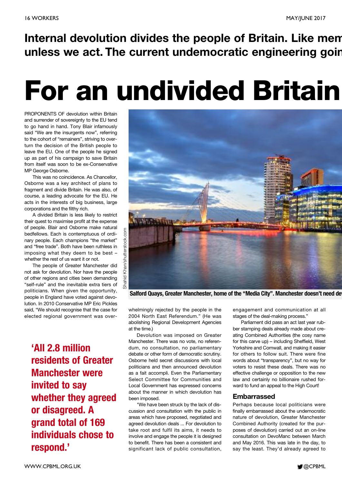**Internal devolution divides the people of Britain. Like mem unless we act. The current undemocratic engineering goin**

# **For an undivided Britain**

PROPONENTS OF devolution within Britain and surrender of sovereignty to the EU tend to go hand in hand. Tony Blair infamously said "We are the insurgents now", referring to the cohort of "remainers", striving to overturn the decision of the British people to leave the EU. One of the people he signed up as part of his campaign to save Britain from itself was soon to be ex-Conservative MP George Osborne.

This was no coincidence. As Chancellor, Osborne was a key architect of plans to fragment and divide Britain. He was also, of course, a leading advocate for the EU. He acts in the interests of big business, large corporations and the filthy rich.

A divided Britain is less likely to restrict their quest to maximise profit at the expense of people. Blair and Osborne make natural bedfellows. Each is contemptuous of ordinary people. Each champions "the market" and "free trade". Both have been ruthless in imposing what they deem to be best – whether the rest of us want it or not.

The people of Greater Manchester did not ask for devolution. Nor have the people of other regions and cities been demanding "self-rule" and the inevitable extra tiers of politicians. When given the opportunity, people in England have voted against devolution. In 2010 Conservative MP Eric Pickles said, "We should recognise that the case for elected regional government was over-

**'All 2.8 million residents of Greater Manchester were invited to say whether they agreed or disagreed. A grand total of 169 individuals chose to respond.'**



**Salford Quays, Greater Manchester, home of the "Media City". Manchester doesn't need dev**

whelmingly rejected by the people in the 2004 North East Referendum." (He was abolishing Regional Development Agencies at the time.)

Devolution was imposed on Greater Manchester. There was no vote, no referendum, no consultation, no parliamentary debate or other form of democratic scrutiny. Osborne held secret discussions with local politicians and then announced devolution as a fait accompli. Even the Parliamentary Select Committee for Communities and Local Government has expressed concerns about the manner in which devolution has been imposed.

"We have been struck by the lack of discussion and consultation with the public in areas which have proposed, negotiated and agreed devolution deals ... For devolution to take root and fulfil its aims, it needs to involve and engage the people it is designed to benefit. There has been a consistent and significant lack of public consultation,

engagement and communication at all stages of the deal-making process."

Parliament did pass an act last year rubber stamping deals already made about creating Combined Authorities (the cosy name for this carve up) – including Sheffield, West Yorkshire and Cornwall, and making it easier for others to follow suit. There were fine words about "transparency", but no way for voters to resist these deals. There was no effective challenge or opposition to the new law and certainly no billionaire rushed forward to fund an appeal to the High Court!

### **Embarrassed**

Perhaps because local politicians were finally embarrassed about the undemocratic nature of devolution, Greater Manchester Combined Authority (created for the purposes of devolution) carried out an on-line consultation on DevoManc between March and May 2016. This was late in the day, to say the least. They'd already agreed to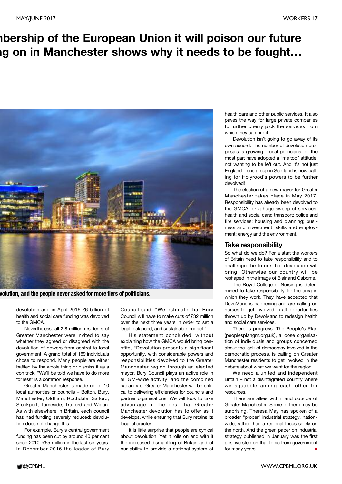### **mbership of the European Union it will poison our future ng on in Manchester shows why it needs to be fought…**



**volution, and the people never asked for more tiers of politicians.**

devolution and in April 2016 £6 billion of health and social care funding was devolved to the GMCA.

Nevertheless, all 2.8 million residents of Greater Manchester were invited to say whether they agreed or disagreed with the devolution of powers from central to local government. A grand total of 169 individuals chose to respond. Many people are either baffled by the whole thing or dismiss it as a con trick. "We'll be told we have to do more for less" is a common response.

Greater Manchester is made up of 10 local authorities or councils – Bolton, Bury, Manchester, Oldham, Rochdale, Salford, Stockport, Tameside, Trafford and Wigan. As with elsewhere in Britain, each council has had funding severely reduced; devolution does not change this.

For example, Bury's central government funding has been cut by around 40 per cent since 2010, £65 million in the last six years. In December 2016 the leader of Bury

Council said, "We estimate that Bury Council will have to make cuts of £32 million over the next three years in order to set a legal, balanced, and sustainable budget."

His statement concluded, without explaining how the GMCA would bring benefits, "Devolution presents a significant opportunity, with considerable powers and responsibilities devolved to the Greater Manchester region through an elected mayor. Bury Council plays an active role in all GM-wide activity, and the combined capacity of Greater Manchester will be critical to delivering efficiencies for councils and partner organisations. We will look to take advantage of the best that Greater Manchester devolution has to offer as it develops, while ensuring that Bury retains its local character."

It is little surprise that people are cynical about devolution. Yet it rolls on and with it the increased dismantling of Britain and of our ability to provide a national system of health care and other public services. It also paves the way for large private companies to further cherry pick the services from which they can profit.

Devolution isn't going to go away of its own accord. The number of devolution proposals is growing. Local politicians for the most part have adopted a "me too" attitude, not wanting to be left out. And it's not just England – one group in Scotland is now calling for Holyrood's powers to be further devolved!

The election of a new mayor for Greater Manchester takes place in May 2017. Responsibility has already been devolved to the GMCA for a huge sweep of services: health and social care; transport; police and fire services; housing and planning; business and investment; skills and employment; energy and the environment.

### **Take responsibility**

So what do we do? For a start the workers of Britain need to take responsibility and to challenge the future that devolution will bring. Otherwise our country will be reshaped in the image of Blair and Osborne.

The Royal College of Nursing is determined to take responsibility for the area in which they work. They have accepted that DevoManc is happening and are calling on nurses to get involved in all opportunities thrown up by DevoManc to redesign health and social care services.

There is progress. The People's Plan (peoplesplangm.org.uk), a loose organisation of individuals and groups concerned about the lack of democracy involved in the democratic process, is calling on Greater Manchester residents to get involved in the debate about what we want for the region.

We need a united and independent Britain – not a disintegrated country where we squabble among each other for resources.

There are allies within and outside of Greater Manchester. Some of them may be surprising. Theresa May has spoken of a broader "proper" industrial strategy, nationwide, rather than a regional focus solely on the north. And the green paper on industrial strategy published in January was the first positive step on that topic from government for many years.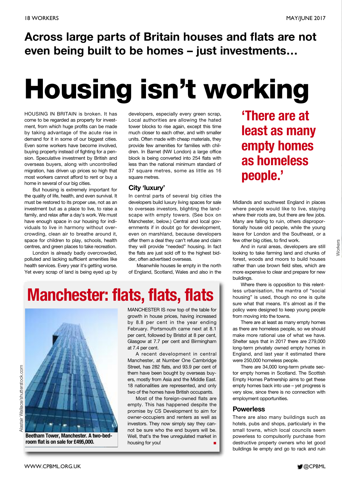### **Across large parts of Britain houses and flats are not even being built to be homes – just investments…**

# **Housing isn't working**

HOUSING IN BRITAIN is broken. It has come to be regarded as property for investment, from which huge profits can be made by taking advantage of the acute rise in demand for it in some of our biggest cities. Even some workers have become involved, buying property instead of fighting for a pension. Speculative investment by British and overseas buyers, along with uncontrolled migration, has driven up prices so high that most workers cannot afford to rent or buy a home in several of our big cities.

But housing is extremely important for the quality of life, health, and even survival. It must be restored to its proper use, not as an investment but as a place to live, to raise a family, and relax after a day's work. We must have enough space in our housing for individuals to live in harmony without overcrowding, clean air to breathe around it, space for children to play, schools, health centres, and green places to take recreation.

London is already badly overcrowded, polluted and lacking sufficient amenities like health services. Every year it's getting worse. Yet every scrap of land is being eyed up by

developers, especially every green scrap, Local authorities are allowing the hated tower blocks to rise again, except this time much closer to each other, and with smaller units. Often made with cheap materials, they provide few amenities for families with children. In Barnet (NW London) a large office block is being converted into 254 flats with less than the national minimum standard of 37 square metres, some as little as 16 square metres.

### **City 'luxury'**

In central parts of several big cities the developers build luxury living spaces for sale to overseas investors, blighting the landscape with empty towers. (See box on Manchester, below.) Central and local governments if in doubt go for development, even on marshland, because developers offer them a deal they can't refuse and claim they will provide "needed" housing. In fact the flats are just sold off to the highest bidder, often advertised overseas.

Meanwhile houses lie empty in the north of England, Scotland, Wales and also in the

# **Manchester: flats, flats, flats**



**Beetham Tower, Manchester. A two-bedroom flat is on sale for £495,000.**

MANCHESTER IS now top of the table for growth in house prices, having increased by 8.8 per cent in the year ending February. Portsmouth came next at 8.1 per cent, followed by Bristol at 8 per cent, Glasgow at 7.7 per cent and Birmingham at 7.4 per cent.

A recent development in central Manchester, at Number One Cambridge Street, has 282 flats, and 93.9 per cent of them have been bought by overseas buyers, mostly from Asia and the Middle East. 18 nationalities are represented, and only two of the homes have British occupants.

Most of the foreign-owned flats are empty. This has happened despite the promise by CS Development to aim for owner-occupiers and renters as well as investors. They now simply say they cannot be sure who the end buyers will be. Well, that's the free unregulated market in housing for you! **■**

**'There are at least as many empty homes as homeless people.'**

Midlands and southwest England in places where people would like to live, staying where their roots are, but there are few jobs. Many are falling to ruin, others disproportionally house old people, while the young leave for London and the Southeast, or a few other big cities, to find work.

And in rural areas, developers are still looking to take farming land and chunks of forest, woods and moors to build houses rather than use brown field sites, which are more expensive to clear and prepare for new buildings.

Where there is opposition to this relentless urbanisation, the mantra of "social housing" is used, though no one is quite sure what that means. It's almost as if the policy were designed to keep young people from moving into the towns.

There are at least as many empty homes as there are homeless people, so we should make more rational use of what we have. Shelter says that in 2017 there are 279,000 long-term privately owned empty homes in England, and last year it estimated there were 250,000 homeless people.

There are 34,000 long-term private sector empty homes in Scotland. The Scottish Empty Homes Partnership aims to get these empty homes back into use – yet progress is very slow, since there is no connection with employment opportunities.

### **Powerless**

There are also many buildings such as hotels, pubs and shops, particularly in the small towns, which local councils seem powerless to compulsorily purchase from destructive property owners who let good buildings lie empty and go to rack and ruin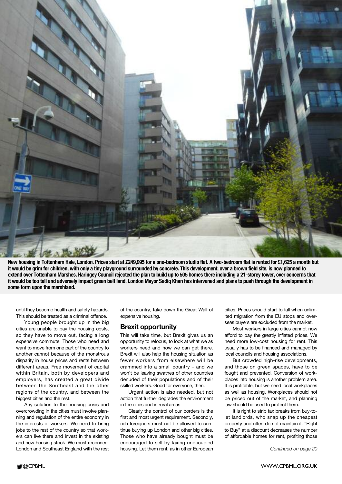

New housing in Tottenham Hale, London. Prices start at £249,995 for a one-bedroom studio flat. A two-bedroom flat is rented for £1,625 a month but it would be grim for children, with only a tiny playground surrounded by concrete. This development, over a brown field site, is now planned to extend over Tottenham Marshes. Haringey Council rejected the plan to build up to 505 homes there including a 21-storey tower, over concerns that it would be too tall and adversely impact green belt land. London Mayor Sadiq Khan has intervened and plans to push through the development in **some form upon the marshland.**

until they become health and safety hazards. This should be treated as a criminal offence.

Young people brought up in the big cities are unable to pay the housing costs, so they have to move out, facing a long expensive commute. Those who need and want to move from one part of the country to another cannot because of the monstrous disparity in house prices and rents between different areas. Free movement of capital within Britain, both by developers and employers, has created a great divide between the Southeast and the other regions of the country, and between the biggest cities and the rest.

Any solution to the housing crisis and overcrowding in the cities must involve planning and regulation of the entire economy in the interests of workers. We need to bring jobs to the rest of the country so that workers can live there and invest in the existing and new housing stock. We must reconnect London and Southeast England with the rest

of the country, take down the Great Wall of expensive housing.

### **Brexit opportunity**

This will take time, but Brexit gives us an opportunity to refocus, to look at what we as workers need and how we can get there. Brexit will also help the housing situation as fewer workers from elsewhere will be crammed into a small country – and we won't be leaving swathes of other countries denuded of their populations and of their skilled workers. Good for everyone, then.

Urgent action is also needed, but not action that further degrades the environment in the cities and in rural areas.

Clearly the control of our borders is the first and most urgent requirement. Secondly, rich foreigners must not be allowed to continue buying up London and other big cities. Those who have already bought must be encouraged to sell by taxing unoccupied housing. Let them rent, as in other European

cities. Prices should start to fall when unlimited migration from the EU stops and overseas buyers are excluded from the market.

Most workers in large cities cannot now afford to pay the greatly inflated prices. We need more low-cost housing for rent. This usually has to be financed and managed by local councils and housing associations.

But crowded high-rise developments, and those on green spaces, have to be fought and prevented. Conversion of workplaces into housing is another problem area. It is profitable, but we need local workplaces as well as housing. Workplaces should not be priced out of the market, and planning law should be used to protect them.

It is right to strip tax breaks from buy-tolet landlords, who snap up the cheapest property and often do not maintain it. "Right to Buy" at a discount decreases the number of affordable homes for rent, profiting those

*Continued on page 20*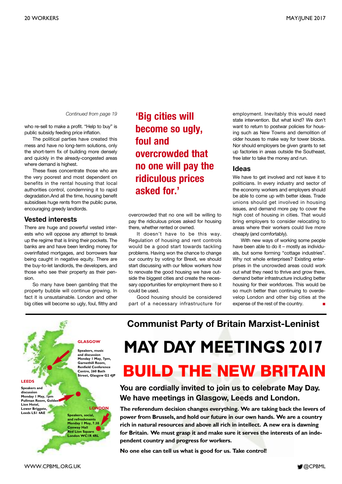*Continued from page 19*

who re-sell to make a profit. "Help to buy" is public subsidy feeding price inflation.

The political parties have created this mess and have no long-term solutions, only the short-term fix of building more densely and quickly in the already-congested areas where demand is highest.

These fixes concentrate those who are the very poorest and most dependent on benefits in the rental housing that local authorities control, condemning it to rapid degradation.And all the time, housing benefit subsidises huge rents from the public purse, encouraging greedy landlords.

### **Vested interests**

There are huge and powerful vested interests who will oppose any attempt to break up the regime that is lining their pockets. The banks are and have been lending money for overinflated mortgages, and borrowers fear being caught in negative equity. There are the buy-to-let landlords, the developers, and those who see their property as their pension.

So many have been gambling that the property bubble will continue growing. In fact it is unsustainable. London and other big cities will become so ugly, foul, filthy and

### **'Big cities will become so ugly, foul and overcrowded that no one will pay the ridiculous prices asked for.'**

overcrowded that no one will be willing to pay the ridiculous prices asked for housing there, whether rented or owned.

It doesn't have to be this way. Regulation of housing and rent controls would be a good start towards tackling problems. Having won the chance to change our country by voting for Brexit, we should start discussing with our fellow workers how to renovate the good housing we have outside the biggest cities and create the necessary opportunities for employment there so it could be used.

Good housing should be considered part of a necessary infrastructure for

employment. Inevitably this would need state intervention. But what kind? We don't want to return to postwar policies for housing such as New Towns and demolition of older houses to make way for tower blocks. Nor should employers be given grants to set up factories in areas outside the Southeast, free later to take the money and run.

#### **Ideas**

We have to get involved and not leave it to politicians. In every industry and sector of the economy workers and employers should be able to come up with better ideas. Trade unions should get involved in housing issues, and demand more pay to cover the high cost of housing in cities. That would bring employers to consider relocating to areas where their workers could live more cheaply (and comfortably).

With new ways of working some people have been able to do it – mostly as individuals, but some forming "cottage industries". Why not whole enterprises? Existing enterprises in the uncrowded areas could work out what they need to thrive and grow there, demand better infrastructure including better housing for their workforces. This would be so much better than continuing to overdevelop London and other big cities at the expense of the rest of the country.

**and discussion Monday 1 May, 7pm, Garnethill Room, Renfield Conference Centre, 260 Bath**

**LEEDS**

**Speakers and discussion Monday 1 May, 1pm Pullman Room, Golden Lion Hotel, Lower Briggate, Leeds LS1 4AE**

**Speakers, music**

**Street, Glasgow G2 4JP**

**LONDON**

**Speakers, social, and refreshments Monday 1 May, 7.30 Conway Hall Red Lion Square London WC1R 4RL** **Communist Party of Britain Marxist-Leninist**

# **BUILD THE NEW BRITAIN GLASGOW MAY DAY MEETINGS 2017**

**You are cordially invited to join us to celebrate May Day. We have meetings in Glasgow, Leeds and London.**

**The referendum decision changes everything. We are taking back the levers of power from Brussels, and hold our future in our own hands. We are a country rich in natural resources and above all rich in intellect. A new era is dawning for Britain. We must grasp it and make sure it serves the interests of an independent country and progress for workers.**

**No one else can tell us what is good for us. Take control!**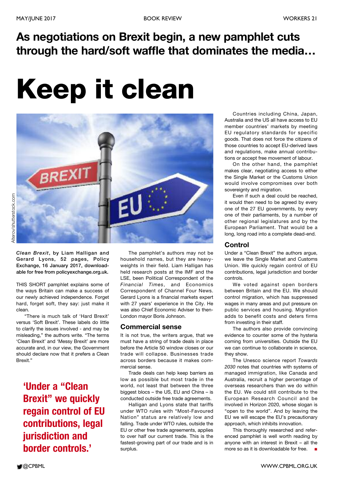### **As negotiations on Brexit begin, a new pamphlet cuts through the hard/soft waffle that dominates the media…**

# **Keep it clean**



*Clean Brexit***, by Liam Halligan and Gerard Lyons, 52 pages, Policy Exchange, 16 January 2017, downloadable for free from policyexchange.org.uk.**

THIS SHORT pamphlet explains some of the ways Britain can make a success of our newly achieved independence. Forget hard, forget soft, they say: just make it clean.

"There is much talk of 'Hard Brexit' versus 'Soft Brexit'. These labels do little to clarify the issues involved - and may be misleading," the authors write. "The terms 'Clean Brexit' and 'Messy Brexit' are more accurate and, in our view, the Government should declare now that it prefers a Clean Brexit."

**'Under a "Clean Brexit" we quickly regain control of EU contributions, legal jurisdiction and border controls.'**

The pamphlet's authors may not be household names, but they are heavyweights in their field. Liam Halligan has held research posts at the IMF and the LSE, been Political Correspondent of the *Financial Times*, and Economics Correspondent of Channel Four News. Gerard Lyons is a financial markets expert with 27 years' experience in the City. He was also Chief Economic Adviser to then-London mayor Boris Johnson.

### **Commercial sense**

It is not true, the writers argue, that we must have a string of trade deals in place before the Article 50 window closes or our trade will collapse. Businesses trade across borders because it makes commercial sense.

Trade deals can help keep barriers as low as possible but most trade in the world, not least that between the three biggest blocs – the US, EU and China – is conducted outside free trade agreements.

Halligan and Lyons state that tariffs under WTO rules with "Most-Favoured Nation" status are relatively low and falling. Trade under WTO rules, outside the EU or other free trade agreements, applies to over half our current trade. This is the fastest-growing part of our trade and is in surplus.

Countries including China, Japan, Australia and the US all have access to EU member countries' markets by meeting EU regulatory standards for specific goods. That does not force the citizens of those countries to accept EU-derived laws and regulations, make annual contributions or accept free movement of labour.

On the other hand, the pamphlet makes clear, negotiating access to either the Single Market or the Customs Union would involve compromises over both sovereignty and migration.

Even if such a deal could be reached, it would then need to be agreed by every one of the 27 EU governments, by every one of their parliaments, by a number of other regional legislatures and by the European Parliament. That would be a long, long road into a complete dead-end.

### **Control**

Under a "Clean Brexit" the authors argue, we leave the Single Market and Customs Union. We quickly regain control of EU contributions, legal jurisdiction and border controls.

We voted against open borders between Britain and the EU. We should control migration, which has suppressed wages in many areas and put pressure on public services and housing. Migration adds to benefit costs and deters firms from investing in their staff.

The authors also provide convincing evidence to counter some of the hysteria coming from universities. Outside the EU we can continue to collaborate in science, they show.

The Unesco science report *Towards 2030* notes that countries with systems of managed immigration, like Canada and Australia, recruit a higher percentage of overseas researchers than we do within the EU. We could still contribute to the European Research Council and be involved in Horizon 2020, whose slogan is "open to the world". And by leaving the EU we will escape the EU's precautionary approach, which inhibits innovation.

This thoroughly researched and referenced pamphlet is well worth reading by anyone with an interest in Brexit – all the more so as it is downloadable for free.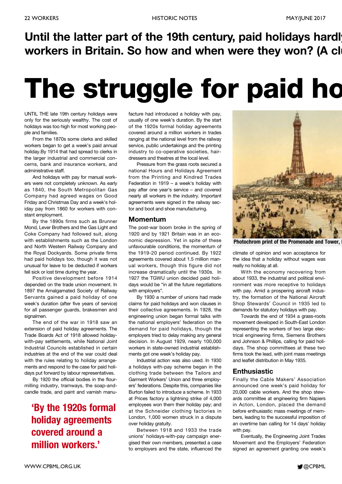### **Until the latter part of the 19th century, paid holidays hardly workers in Britain. So how and when were they won? (A clu**

# **The struggle for paid ho**

UNTIL THE late 19th century holidays were only for the seriously wealthy. The cost of holidays was too high for most working people and families.

From the 1870s some clerks and skilled workers began to get a week's paid annual holiday.By 1914 that had spread to clerks in the larger industrial and commercial concerns, bank and insurance workers, and administrative staff.

And holidays with pay for manual workers were not completely unknown. As early as 1840, the South Metropolitan Gas Company had agreed wages on Good Friday and Christmas Day and a week's holiday pay from 1860 for workers with constant employment.

By the 1890s firms such as Brunner Mond, Lever Brothers and the Gas Light and Coke Company had followed suit, along with establishments such as the London and North Western Railway Company and the Royal Dockyards. Some private firms had paid holidays too, though it was not unusual for leave to be deducted if workers fell sick or lost time during the year.

Positive development before 1914 depended on the trade union movement. In 1897 the Amalgamated Society of Railway Servants gained a paid holiday of one week's duration (after five years of service) for all passenger guards, brakesmen and signalmen.

The end of the war in 1918 saw an extension of paid holiday agreements. The Trade Boards Act of 1918 allowed holidaywith-pay settlements, while National Joint Industrial Councils established in certain industries at the end of the war could deal with the rules relating to holiday arrangements and respond to the case for paid holidays put forward by labour representatives.

By 1920 the official bodies in the flourmilling industry, tramways, the soap-andcandle trade, and paint and varnish manu-

### **'By the 1920s formal holiday agreements covered around a million workers.'**

facture had introduced a holiday with pay, usually of one week's duration. By the start of the 1920s formal holiday agreements covered around a million workers in trades ranging at the national level from the railway service, public undertakings and the printing industry to co-operative societies, hairdressers and theatres at the local level.

Pressure from the grass roots secured a national Hours and Holidays Agreement from the Printing and Kindred Trades Federation in 1919 – a week's holiday with pay after one year's service – and covered nearly all workers in the industry. Important agreements were signed in the railway sector and boot and shoe manufacturing.

#### **Momentum**

The post-war boom broke in the spring of 1920 and by 1921 Britain was in an economic depression. Yet in spite of these unfavourable conditions, the momentum of the 1919-20 period continued. By 1922 agreements covered about 1.5 million manual workers, though this figure did not increase dramatically until the 1930s. In 1927 the TGWU union decided paid holidays would be "in all the future negotiations with employers".

By 1930 a number of unions had made claims for paid holidays and won clauses in their collective agreements. In 1928, the engineering union began formal talks with the national employers' federation on the demand for paid holidays, though the employers tried to delay making any general decision. In August 1929, nearly 100,000 workers in state-owned industrial establishments got one week's holiday pay.

Industrial action was also used. In 1930 a holidays with-pay scheme began in the clothing trade between the Tailors and Garment Workers' Union and three employers' federations. Despite this, companies like Burton failed to introduce a scheme. In 1933 at Prices factory a lightning strike of 4,000 employees won them their holiday pay; and at the Schneider clothing factories in London, 1,000 women struck in a dispute over holiday gratuity.

Between 1918 and 1933 the trade unions' holidays-with-pay campaign energised their own members, presented a case to employers and the state, influenced the



**Photochrom** print of the Promenade and Tower.

climate of opinion and won acceptance for the idea that a holiday without wages was really no holiday at all.

With the economy recovering from about 1933, the industrial and political environment was more receptive to holidays with pay. Amid a prospering aircraft industry, the formation of the National Aircraft Shop Stewards' Council in 1935 led to demands for statutory holidays with pay.

Towards the end of 1934 a grass-roots movement developed in South-East London representing the workers of two large electrical engineering firms, Siemens Brothers and Johnson & Phillips, calling for paid holidays. The shop committees at these two firms took the lead, with joint mass meetings and leaflet distribution in May 1935.

### **Enthusiastic**

Finally the Cable Makers' Association announced one week's paid holiday for 20,000 cable workers. And the shop stewards committee at engineering firm Napiers in Acton, London, placed the demand before enthusiastic mass meetings of members, leading to the successful imposition of an overtime ban calling for 14 days' holiday with pay.

Eventually, the Engineering Joint Trades Movement and the Employers' Federation signed an agreement granting one week's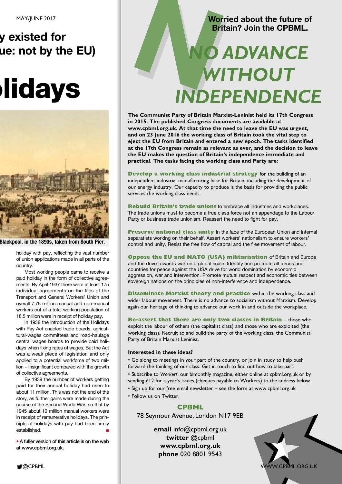### **y existed for ue: not by the EU)**

# **olidays**



**Blackpool, in the 1890s, taken from South Pier.**

holiday with pay, reflecting the vast number of union applications made in all parts of the country.

Most working people came to receive a paid holiday in the form of collective agreements. By April 1937 there were at least 175 individual agreements on the files of the Transport and General Workers' Union and overall 7.75 million manual and non-manual workers out of a total working population of 18.5 million were in receipt of holiday pay.

In 1938 the introduction of the Holidays with Pay Act enabled trade boards, agricultural-wages committees and road-haulage central wages boards to provide paid holidays when fixing rates of wages. But the Act was a weak piece of legislation and only applied to a potential workforce of two million – insignificant compared with the growth of collective agreements.

By 1939 the number of workers getting paid for their annual holiday had risen to about 11 million. This was not the end of the story, as further gains were made during the course of the Second World War, so that by 1945 about 10 million manual workers were in receipt of remunerative holidays. The principle of holidays with pay had been firmly established. **■**

**• A fuller version of this article is on the web at www.cpbml.org.uk.**

### **Worried about the future of Britain? Join the CPBML.**

# Worried about the future of Britain? Join the CPBML. *WITHOUT INDEPENDENCE*

**The Communist Party of Britain Marxist-Leninist held its 17th Congress in 2015. The published Congress documents are available at www.cpbml.org.uk. At that time the need to leave the EU was urgent, and on 23 June 2016 the working class of Britain took the vital step to eject the EU from Britain and entered a new epoch. The tasks identified at the 17th Congress remain as relevant as ever, and the decision to leave the EU makes the question of Britain's independence immediate and practical. The tasks facing the working class and Party are:**

**Develop a working class industrial strategy** for the building of an independent industrial manufacturing base for Britain, including the development of our energy industry. Our capacity to produce is the basis for providing the public services the working class needs.

**Rebuild Britain's trade unions** to embrace all industries and workplaces. The trade unions must to become a true class force not an appendage to the Labour Party or business trade unionism. Reassert the need to fight for pay.

**Preserve national class unity** in the face of the European Union and internal separatists working on their behalf. Assert workers' nationalism to ensure workers' control and unity. Resist the free flow of capital and the free movement of labour.

**Oppose the EU and NATO (USA) militarisation** of Britain and Europe and the drive towards war on a global scale. Identify and promote all forces and countries for peace against the USA drive for world domination by economic aggression, war and intervention. Promote mutual respect and economic ties between sovereign nations on the principles of non-interference and independence.

**Disseminate Marxist theory and practice** within the working class and wider labour movement. There is no advance to socialism without Marxism. Develop again our heritage of thinking to advance our work in and outside the workplace.

**Re-assert that there are only two classes in Britain** – those who exploit the labour of others (the capitalist class) and those who are exploited (the working class). Recruit to and build the party of the working class, the Communist Party of Britain Marxist Leninist.

### **Interested in these ideas?**

• Go along to meetings in your part of the country, or join in study to help push forward the thinking of our class. Get in touch to find out how to take part.

- Subscribe to *Workers*, our bimonthly magazine, either online at cpbml.org.uk or by sending £12 for a year's issues (cheques payable to Workers) to the address below.
- Sign up for our free email newsletter see the form at www.cpbml.org.uk
- Follow us on Twitter.

### **CPBML**

78 Seymour Avenue, London N17 9EB

**email** info@cpbml.org.uk **twitter** @cpbml **www.cpbml.org.uk phone** 020 8801 9543